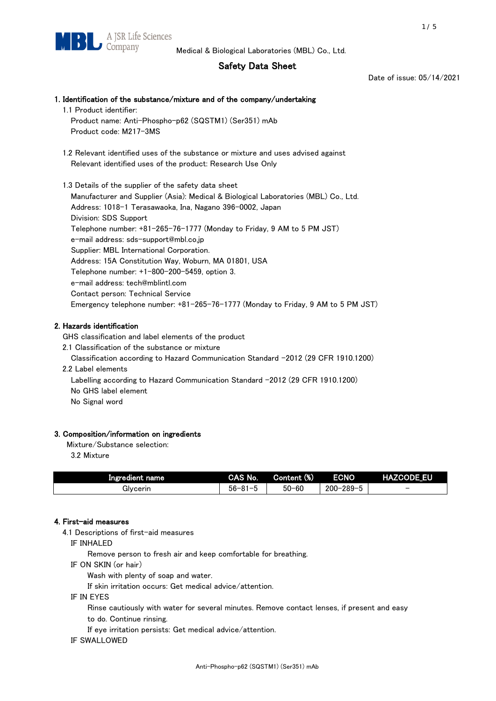# Safety Data Sheet

Date of issue: 05/14/2021

# 1. Identification of the substance/mixture and of the company/undertaking 1.1 Product identifier: Product name: Anti-Phospho-p62 (SQSTM1) (Ser351) mAb Product code: M217-3MS 1.2 Relevant identified uses of the substance or mixture and uses advised against Relevant identified uses of the product: Research Use Only 1.3 Details of the supplier of the safety data sheet Manufacturer and Supplier (Asia): Medical & Biological Laboratories (MBL) Co., Ltd. Address: 1018-1 Terasawaoka, Ina, Nagano 396-0002, Japan Division: SDS Support Telephone number: +81-265-76-1777 (Monday to Friday, 9 AM to 5 PM JST) e-mail address: sds-support@mbl.co.jp Supplier: MBL International Corporation. Address: 15A Constitution Way, Woburn, MA 01801, USA Telephone number: +1-800-200-5459, option 3. e-mail address: tech@mblintl.com

Contact person: Technical Service

Emergency telephone number: +81-265-76-1777 (Monday to Friday, 9 AM to 5 PM JST)

## 2. Hazards identification

GHS classification and label elements of the product

2.1 Classification of the substance or mixture

Classification according to Hazard Communication Standard -2012 (29 CFR 1910.1200)

2.2 Label elements

Labelling according to Hazard Communication Standard -2012 (29 CFR 1910.1200) No GHS label element

No Signal word

# 3. Composition/information on ingredients

Mixture/Substance selection:

3.2 Mixture

| Ingredient name | CAS No.             | Content (%) | <b>ECNO</b>                    | EU<br><b>HAZCODE</b>     |
|-----------------|---------------------|-------------|--------------------------------|--------------------------|
| Glvcerin        | $56 - 81 -$<br>ິບ ເ | $50 - 60$   | $-289-$<br>$200 - 2$<br>-<br>v | $\overline{\phantom{0}}$ |

## 4. First-aid measures

4.1 Descriptions of first-aid measures

IF INHALED

Remove person to fresh air and keep comfortable for breathing.

IF ON SKIN (or hair)

Wash with plenty of soap and water.

If skin irritation occurs: Get medical advice/attention.

IF IN EYES

Rinse cautiously with water for several minutes. Remove contact lenses, if present and easy

to do. Continue rinsing.

If eye irritation persists: Get medical advice/attention.

IF SWALLOWED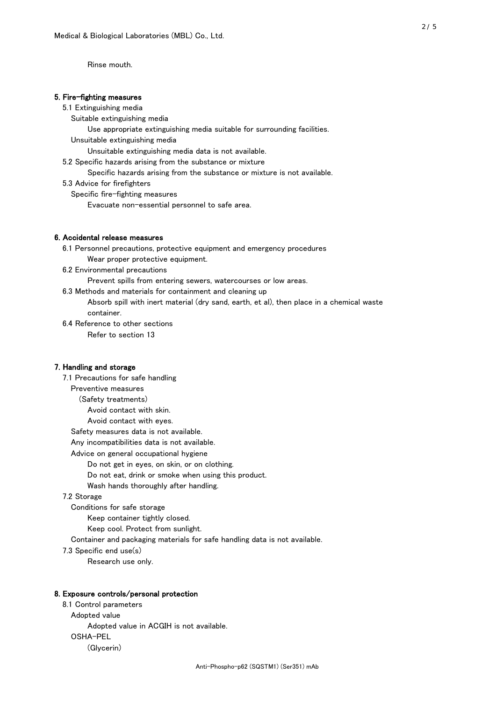Rinse mouth.

#### 5. Fire-fighting measures

#### 5.1 Extinguishing media

Suitable extinguishing media

- Use appropriate extinguishing media suitable for surrounding facilities.
- Unsuitable extinguishing media

Unsuitable extinguishing media data is not available.

5.2 Specific hazards arising from the substance or mixture

Specific hazards arising from the substance or mixture is not available.

5.3 Advice for firefighters

Specific fire-fighting measures

Evacuate non-essential personnel to safe area.

#### 6. Accidental release measures

- 6.1 Personnel precautions, protective equipment and emergency procedures Wear proper protective equipment.
- 6.2 Environmental precautions

Prevent spills from entering sewers, watercourses or low areas.

6.3 Methods and materials for containment and cleaning up

- Absorb spill with inert material (dry sand, earth, et al), then place in a chemical waste container.
- 6.4 Reference to other sections

Refer to section 13

#### 7. Handling and storage

 7.1 Precautions for safe handling Preventive measures (Safety treatments) Avoid contact with skin. Avoid contact with eyes. Safety measures data is not available. Any incompatibilities data is not available. Advice on general occupational hygiene Do not get in eyes, on skin, or on clothing. Do not eat, drink or smoke when using this product. Wash hands thoroughly after handling. 7.2 Storage Conditions for safe storage Keep container tightly closed.

Keep cool. Protect from sunlight.

Container and packaging materials for safe handling data is not available.

7.3 Specific end use(s)

Research use only.

#### 8. Exposure controls/personal protection

 8.1 Control parameters Adopted value Adopted value in ACGIH is not available. OSHA-PEL (Glycerin)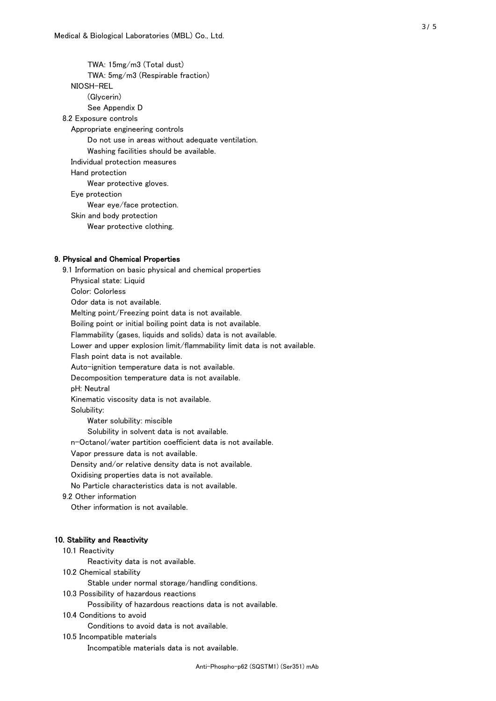TWA: 15mg/m3 (Total dust) TWA: 5mg/m3 (Respirable fraction) NIOSH-REL (Glycerin) See Appendix D 8.2 Exposure controls Appropriate engineering controls Do not use in areas without adequate ventilation. Washing facilities should be available. Individual protection measures Hand protection Wear protective gloves. Eye protection Wear eye/face protection. Skin and body protection Wear protective clothing.

## 9. Physical and Chemical Properties

 9.1 Information on basic physical and chemical properties Physical state: Liquid Color: Colorless Odor data is not available. Melting point/Freezing point data is not available. Boiling point or initial boiling point data is not available. Flammability (gases, liquids and solids) data is not available. Lower and upper explosion limit/flammability limit data is not available. Flash point data is not available. Auto-ignition temperature data is not available. Decomposition temperature data is not available. pH: Neutral Kinematic viscosity data is not available. Solubility: Water solubility: miscible Solubility in solvent data is not available. n-Octanol/water partition coefficient data is not available. Vapor pressure data is not available. Density and/or relative density data is not available. Oxidising properties data is not available. No Particle characteristics data is not available. 9.2 Other information Other information is not available. 10. Stability and Reactivity 10.1 Reactivity Reactivity data is not available.

10.2 Chemical stability

Stable under normal storage/handling conditions.

10.3 Possibility of hazardous reactions

Possibility of hazardous reactions data is not available.

10.4 Conditions to avoid

Conditions to avoid data is not available.

10.5 Incompatible materials

Incompatible materials data is not available.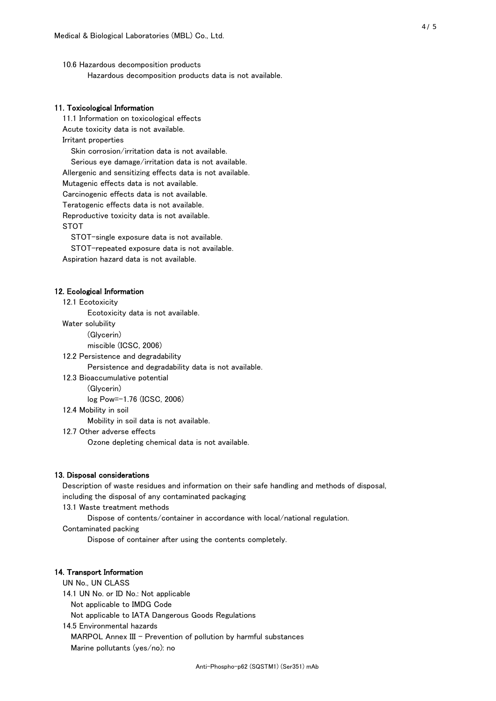10.6 Hazardous decomposition products Hazardous decomposition products data is not available.

## 11. Toxicological Information

 11.1 Information on toxicological effects Acute toxicity data is not available. Irritant properties Skin corrosion/irritation data is not available. Serious eye damage/irritation data is not available. Allergenic and sensitizing effects data is not available. Mutagenic effects data is not available. Carcinogenic effects data is not available. Teratogenic effects data is not available. Reproductive toxicity data is not available. STOT

STOT-single exposure data is not available.

STOT-repeated exposure data is not available.

Aspiration hazard data is not available.

#### 12. Ecological Information

12.1 Ecotoxicity

Ecotoxicity data is not available.

Water solubility

(Glycerin)

miscible (ICSC, 2006)

12.2 Persistence and degradability

Persistence and degradability data is not available.

12.3 Bioaccumulative potential

(Glycerin)

log Pow=-1.76 (ICSC, 2006)

12.4 Mobility in soil

Mobility in soil data is not available.

12.7 Other adverse effects

Ozone depleting chemical data is not available.

#### 13. Disposal considerations

 Description of waste residues and information on their safe handling and methods of disposal, including the disposal of any contaminated packaging

13.1 Waste treatment methods

Dispose of contents/container in accordance with local/national regulation.

Contaminated packing

Dispose of container after using the contents completely.

#### 14. Transport Information

 UN No., UN CLASS 14.1 UN No. or ID No.: Not applicable Not applicable to IMDG Code Not applicable to IATA Dangerous Goods Regulations

 14.5 Environmental hazards MARPOL Annex III - Prevention of pollution by harmful substances Marine pollutants (yes/no): no